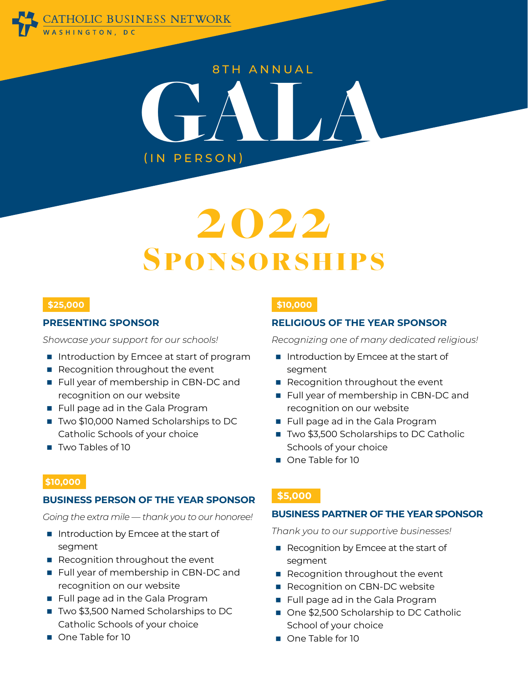

# 8TH ANNUAL ERSON) (IN PERSON)

## 2022 Sponsorships

#### **\$25,000**

#### **PRESENTING SPONSOR**

*Showcase your support for our schools!* 

- Introduction by Emcee at start of program
- Recognition throughout the event
- Full year of membership in CBN-DC and recognition on our website
- **Full page ad in the Gala Program**
- Two \$10,000 Named Scholarships to DC Catholic Schools of your choice
- **Two Tables of 10**

#### **\$10,000**

#### **RELIGIOUS OF THE YEAR SPONSOR**

*Recognizing one of many dedicated religious!*

- Introduction by Emcee at the start of segment
- Recognition throughout the event
- Full year of membership in CBN-DC and recognition on our website
- **Full page ad in the Gala Program**
- Two \$3,500 Scholarships to DC Catholic Schools of your choice
- One Table for 10

#### **\$10,000**

#### **BUSINESS PERSON OF THE YEAR SPONSOR**

*Going the extra mile — thank you to our honoree!*

- Introduction by Emcee at the start of segment
- Recognition throughout the event
- **Full year of membership in CBN-DC and** recognition on our website
- **Full page ad in the Gala Program**
- Two \$3,500 Named Scholarships to DC Catholic Schools of your choice
- One Table for 10

#### **\$5,000**

#### **BUSINESS PARTNER OF THE YEAR SPONSOR**

*Thank you to our supportive businesses!*

- Recognition by Emcee at the start of segment
- Recognition throughout the event
- Recognition on CBN-DC website
- **Full page ad in the Gala Program**
- One \$2,500 Scholarship to DC Catholic School of your choice
- One Table for 10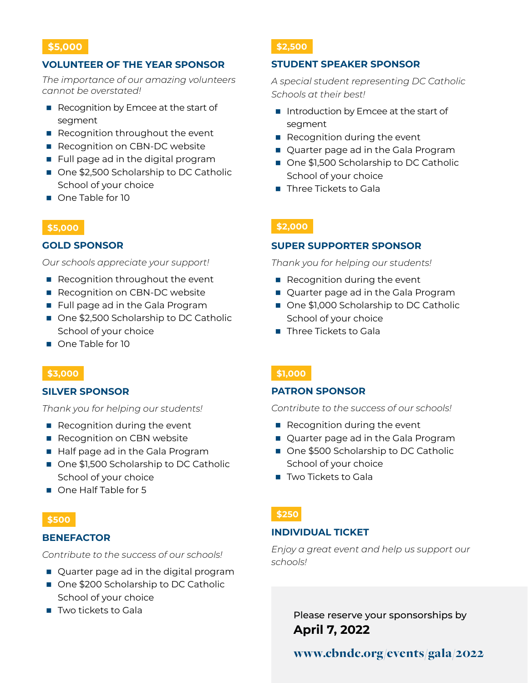#### **VOLUNTEER OF THE YEAR SPONSOR**

*The importance of our amazing volunteers cannot be overstated!*

- Recognition by Emcee at the start of segment
- Recognition throughout the event
- Recognition on CBN-DC website
- **Full page ad in the digital program**
- One \$2,500 Scholarship to DC Catholic School of your choice
- One Table for 10

#### **\$5,000**

#### **GOLD SPONSOR**

*Our schools appreciate your support!*

- Recognition throughout the event
- Recognition on CBN-DC website
- **Full page ad in the Gala Program**
- One \$2,500 Scholarship to DC Catholic School of your choice
- One Table for 10

#### **\$3,000**

#### **SILVER SPONSOR**

*Thank you for helping our students!*

- Recognition during the event
- Recognition on CBN website
- Half page ad in the Gala Program
- One \$1,500 Scholarship to DC Catholic School of your choice
- One Half Table for 5

#### **\$500**

#### **BENEFACTOR**

*Contribute to the success of our schools!*

- Quarter page ad in the digital program
- One \$200 Scholarship to DC Catholic School of your choice
- Two tickets to Gala

#### **\$2,500**

#### **STUDENT SPEAKER SPONSOR**

*A special student representing DC Catholic Schools at their best!*

- Introduction by Emcee at the start of segment
- Recognition during the event
- Quarter page ad in the Gala Program
- One \$1,500 Scholarship to DC Catholic School of your choice
- **Three Tickets to Gala**

#### **\$2,000**

#### **SUPER SUPPORTER SPONSOR**

*Thank you for helping our students!*

- Recognition during the event
- Quarter page ad in the Gala Program
- One \$1,000 Scholarship to DC Catholic School of your choice
- Three Tickets to Gala

#### **\$1,000**

#### **PATRON SPONSOR**

*Contribute to the success of our schools!*

- $\blacksquare$  Recognition during the event
- Quarter page ad in the Gala Program
- One \$500 Scholarship to DC Catholic School of your choice
- **Two Tickets to Gala**

#### **\$250**

#### **INDIVIDUAL TICKET**

*Enjoy a great event and help us support our schools!*

> Please reserve your sponsorships by **April 7, 2022**